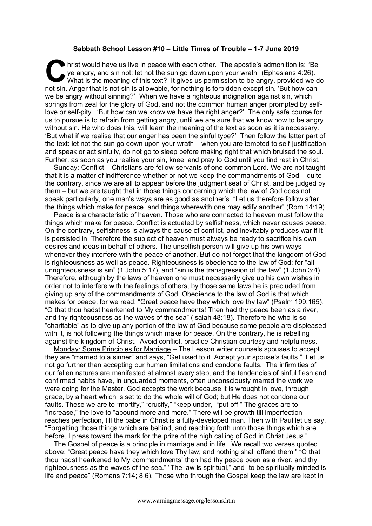## **Sabbath School Lesson #10 – Little Times of Trouble – 1-7 June 2019**

hrist would have us live in peace with each other. The apostle's admonition is: "Be ye angry, and sin not: let not the sun go down upon your wrath" (Ephesians 4:26). What is the meaning of this text? It gives us permission to be angry, provided we do not sin. Anger that is not sin is allowable, for nothing is forbidden except sin. 'But how can we be angry without sinning?' When we have a righteous indignation against sin, which springs from zeal for the glory of God, and not the common human anger prompted by selflove or self-pity. 'But how can we know we have the right anger?' The only safe course for us to pursue is to refrain from getting angry, until we are sure that we know how to be angry without sin. He who does this, will learn the meaning of the text as soon as it is necessary. 'But what if we realise that our anger has been the sinful type?' Then follow the latter part of the text: let not the sun go down upon your wrath – when you are tempted to self-justification and speak or act sinfully, do not go to sleep before making right that which bruised the soul. Further, as soon as you realise your sin, kneel and pray to God until you find rest in Christ. **C** hris

Sunday: Conflict – Christians are fellow-servants of one common Lord. We are not taught that it is a matter of indifference whether or not we keep the commandments of God – quite the contrary, since we are all to appear before the judgment seat of Christ, and be judged by them – but we are taught that in those things concerning which the law of God does not speak particularly, one man's ways are as good as another's. "Let us therefore follow after the things which make for peace, and things wherewith one may edify another" (Rom 14:19).

Peace is a characteristic of heaven. Those who are connected to heaven must follow the things which make for peace. Conflict is actuated by selfishness, which never causes peace. On the contrary, selfishness is always the cause of conflict, and inevitably produces war if it is persisted in. Therefore the subject of heaven must always be ready to sacrifice his own desires and ideas in behalf of others. The unselfish person will give up his own ways whenever they interfere with the peace of another. But do not forget that the kingdom of God is righteousness as well as peace. Righteousness is obedience to the law of God; for "all unrighteousness is sin" (1 John 5:17), and "sin is the transgression of the law" (1 John 3:4). Therefore, although by the laws of heaven one must necessarily give up his own wishes in order not to interfere with the feelings of others, by those same laws he is precluded from giving up any of the commandments of God. Obedience to the law of God is that which makes for peace, for we read: "Great peace have they which love thy law" (Psalm 199:165). "O that thou hadst hearkened to My commandments! Then had thy peace been as a river, and thy righteousness as the waves of the sea" (Isaiah 48:18). Therefore he who is so "charitable" as to give up any portion of the law of God because some people are displeased with it, is not following the things which make for peace. On the contrary, he is rebelling against the kingdom of Christ. Avoid conflict, practice Christian courtesy and helpfulness.

Monday: Some Principles for Marriage – The Lesson writer counsels spouses to accept they are "married to a sinner" and says, "Get used to it. Accept your spouse's faults." Let us not go further than accepting our human limitations and condone faults. The infirmities of our fallen natures are manifested at almost every step, and the tendencies of sinful flesh and confirmed habits have, in unguarded moments, often unconsciously marred the work we were doing for the Master. God accepts the work because it is wrought in love, through grace, by a heart which is set to do the whole will of God; but He does not condone our faults. These we are to "mortify," "crucify," "keep under," "put off." The graces are to "increase," the love to "abound more and more." There will be growth till imperfection reaches perfection, till the babe in Christ is a fully-developed man. Then with Paul let us say, "Forgetting those things which are behind, and reaching forth unto those things which are before, I press toward the mark for the prize of the high calling of God in Christ Jesus."

The Gospel of peace is a principle in marriage and in life. We recall two verses quoted above: "Great peace have they which love Thy law; and nothing shall offend them." "O that thou hadst hearkened to My commandments! then had thy peace been as a river, and thy righteousness as the waves of the sea." "The law is spiritual," and "to be spiritually minded is life and peace" (Romans 7:14; 8:6). Those who through the Gospel keep the law are kept in